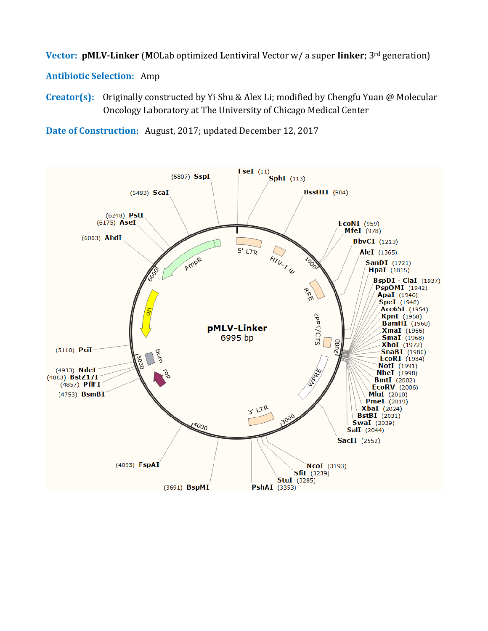**Vector: pMLV-Linker** (**M**OLab optimized **L**enti**v**iral Vector w/ a super **linker**; 3rd generation)

**Antibiotic Selection:** Amp

**Creator(s):** Originally constructed by Yi Shu & Alex Li; modified by Chengfu Yuan @ Molecular Oncology Laboratory at The University of Chicago Medical Center

**Date of Construction:** August, 2017; updated December 12, 2017

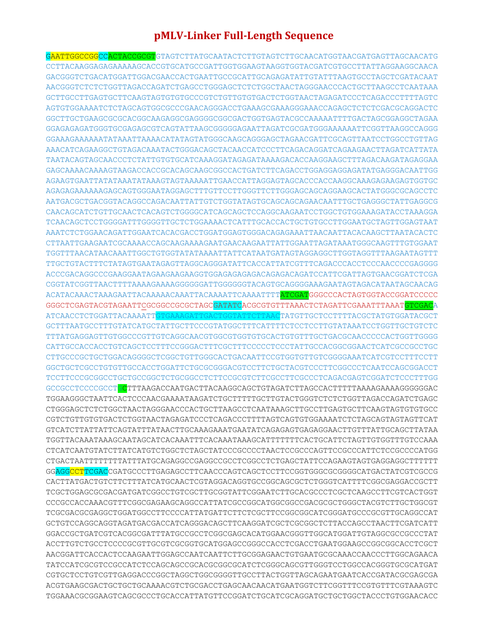## **pMLV-Linker Full-Length Sequence**

GAATTGGCCGGCCACTACCGCGTGTAGTCTTATGCAATACTCTTGTAGTCTTGCAACATGGTAACGATGAGTTAGCAACATG CCTTACAAGGAGAGAAAAAGCACCGTGCATGCCGATTGGTGGAAGTAAGGTGGTACGATCGTGCCTTATTAGGAAGGCAACA GACGGGTCTGACATGGATTGGACGAACCACTGAATTGCCGCATTGCAGAGATATTGTATTTAAGTGCCTAGCTCGATACAAT AACGGGTCTCTCTGGTTAGACCAGATCTGAGCCTGGGAGCTCTCTGGCTAACTAGGGAACCCACTGCTTAAGCCTCAATAAA GCTTGCCTTGAGTGCTTCAAGTAGTGTGTGCCCGTCTGTTGTGTGACTCTGGTAACTAGAGATCCCTCAGACCCTTTTAGTC AGTGTGGAAAATCTCTAGCAGTGGCGCCCGAACAGGGACCTGAAAGCGAAAGGGAAACCAGAGCTCTCTCGACGCAGGACTC GGCTTGCTGAAGCGCGCACGGCAAGAGGCGAGGGGCGGCGACTGGTGAGTACGCCAAAAATTTTGACTAGCGGAGGCTAGAA GGAGAGAGATGGGTGCGAGAGCGTCAGTATTAAGCGGGGGAGAATTAGATCGCGATGGGAAAAAATTCGGTTAAGGCCAGGG GGAAAGAAAAAATATAAATTAAAACATATAGTATGGGCAAGCAGGGAGCTAGAACGATTCGCAGTTAATCCTGGCCTGTTAG AAACATCAGAAGGCTGTAGACAAATACTGGGACAGCTACAACCATCCCTTCAGACAGGATCAGAAGAACTTAGATCATTATA TAATACAGTAGCAACCCTCTATTGTGTGCATCAAAGGATAGAGATAAAAGACACCAAGGAAGCTTTAGACAAGATAGAGGAA GAGCAAAACAAAAGTAAGACCACCGCACAGCAAGCGGCCACTGATCTTCAGACCTGGAGGAGGAGATATGAGGGACAATTGG AGAAGTGAATTATATAAATATAAAGTAGTAAAAATTGAACCATTAGGAGTAGCACCCACCAAGGCAAAGAGAAGAGTGGTGC AGAGAGAAAAAAGAGCAGTGGGAATAGGAGCTTTGTTCCTTGGGTTCTTGGGAGCAGCAGGAAGCACTATGGGCGCAGCCTC AATGACGCTGACGGTACAGGCCAGACAATTATTGTCTGGTATAGTGCAGCAGCAGAACAATTTGCTGAGGGCTATTGAGGCG CAACAGCATCTGTTGCAACTCACAGTCTGGGGCATCAGCAGCTCCAGGCAAGAATCCTGGCTGTGGAAAGATACCTAAAGGA TCAACAGCTCCTGGGGATTTGGGGTTGCTCTGGAAAACTCATTTGCACCACTGCTGTGCCTTGGAATGCTAGTTGGAGTAAT AAATCTCTGGAACAGATTGGAATCACACGACCTGGATGGAGTGGGACAGAGAAATTAACAATTACACAAGCTTAATACACTC CTTAATTGAAGAATCGCAAAACCAGCAAGAAAAGAATGAACAAGAATTATTGGAATTAGATAAATGGGCAAGTTTGTGGAAT TGGTTTAACATAACAAATTGGCTGTGGTATATAAAATTATTCATAATGATAGTAGGAGGCTTGGTAGGTTTAAGAATAGTTT TTGCTGTACTTTCTATAGTGAATAGAGTTAGGCAGGGATATTCACCATTATCGTTTCAGACCCACCTCCCAACCCCGAGGGG ACCCGACAGGCCCGAAGGAATAGAAGAAGAAGGTGGAGAGAGAGACAGAGACAGATCCATTCGATTAGTGAACGGATCTCGA CGGTATCGGTTAACTTTTAAAAGAAAAGGGGGGATTGGGGGGTACAGTGCAGGGGAAAGAATAGTAGACATAATAGCAACAG ACATACAAACTAAAGAATTACAAAAACAAATTACAAAATTCAAAATTTTATCGATGGGCCCACTAGTGGTACCGGATCCCCC GGGCTCGAGTACGTAGAATTCGCGGCCGCGCTAGCGATATCACGCGTGTTTAAACTCTAGATTCGAAATTTAAATGTCGACA ATCAACCTCTGGATTACAAAATT<mark>GTGAAAGATTGACTGGTATTCTTAAC</mark>TATGTTGCTCCTTTTACGCTATGTGGATACGCT GCTTTAATGCCTTTGTATCATGCTATTGCTTCCCGTATGGCTTTCATTTTCTCCTCCTTGTATAAATCCTGGTTGCTGTCTC TTTATGAGGAGTTGTGGCCCGTTGTCAGGCAACGTGGCGTGGTGTGCACTGTGTTTGCTGACGCAACCCCCACTGGTTGGGG CATTGCCACCACCTGTCAGCTCCTTTCCGGGACTTTCGCTTTCCCCCTCCCTATTGCCACGGCGGAACTCATCGCCGCCTGC CTTGCCCGCTGCTGGACAGGGGCTCGGCTGTTGGGCACTGACAATTCCGTGGTGTTGTCGGGGAAATCATCGTCCTTTCCTT GGCTGCTCGCCTGTGTTGCCACCTGGATTCTGCGCGGGACGTCCTTCTGCTACGTCCCTTCGGCCCTCAATCCAGCGGACCT TCCTTCCCGCGGCCTGCTGCCGGCTCTGCGGCCTCTTCCGCGTCTTCGCCTTCGCCCTCAGACGAGTCGGATCTCCCTTTGG GCCGCCTCCCCGCCT CTTTAAGACCAATGACTTACAAGGCAGCTGTAGATCTTAGCCACTTTTTAAAAGAAAAGGGGGGAC TGGAAGGGCTAATTCACTCCCAACGAAAATAAGATCTGCTTTTTGCTTGTACTGGGTCTCTCTGGTTAGACCAGATCTGAGC CTGGGAGCTCTCTGGCTAACTAGGGAACCCACTGCTTAAGCCTCAATAAAGCTTGCCTTGAGTGCTTCAAGTAGTGTGTGCC CGTCTGTTGTGTGACTCTGGTAACTAGAGATCCCTCAGACCCTTTTAGTCAGTGTGGAAAATCTCTAGCAGTAGTAGTTCAT GTCATCTTATTATTCAGTATTTATAACTTGCAAAGAAATGAATATCAGAGAGTGAGAGGAACTTGTTTATTGCAGCTTATAA TGGTTACAAATAAAGCAATAGCATCACAAATTTCACAAATAAAGCATTTTTTTCACTGCATTCTAGTTGTGGTTTGTCCAAA CTCATCAATGTATCTTATCATGTCTGGCTCTAGCTATCCCGCCCCTAACTCCGCCCAGTTCCGCCCATTCTCCGCCCCATGG CTGACTAATTTTTTTTATTTATGCAGAGGCCGAGGCCGCCTCGGCCTCTGAGCTATTCCAGAAGTAGTGAGGAGGCTTTTTT GGAGGCCTTCGACCGATGCCCTTGAGAGCCTTCAACCCAGTCAGCTCCTTCCGGTGGGCGCGGGGCATGACTATCGTCGCCG CACTTATGACTGTCTTCTTTATCATGCAACTCGTAGGACAGGTGCCGGCAGCGCTCTGGGTCATTTTCGGCGAGGACCGCTT TCGCTGGAGCGCGACGATGATCGGCCTGTCGCTTGCGGTATTCGGAATCTTGCACGCCCTCGCTCAAGCCTTCGTCACTGGT CCCGCCACCAAACGTTTCGGCGAGAAGCAGGCCATTATCGCCGGCATGGCGGCCGACGCGCTGGGCTACGTCTTGCTGGCGT TCGCGACGCGAGGCTGGATGGCCTTCCCCATTATGATTCTTCTCGCTTCCGGCGGCATCGGGATGCCCGCGTTGCAGGCCAT GCTGTCCAGGCAGGTAGATGACGACCATCAGGGACAGCTTCAAGGATCGCTCGCGGCTCTTACCAGCCTAACTTCGATCATT GGACCGCTGATCGTCACGGCGATTTATGCCGCCTCGGCGAGCACATGGAACGGGTTGGCATGGATTGTAGGCGCCGCCCTAT ACCTTGTCTGCCTCCCCGCGTTGCGTCGCGGTGCATGGAGCCGGGCCACCTCGACCTGAATGGAAGCCGGCGGCACCTCGCT AACGGATTCACCACTCCAAGAATTGGAGCCAATCAATTCTTGCGGAGAACTGTGAATGCGCAAACCAACCCTTGGCAGAACA TATCCATCGCGTCCGCCATCTCCAGCAGCCGCACGCGGCGCATCTCGGGCAGCGTTGGGTCCTGGCCACGGGTGCGCATGAT CGTGCTCCTGTCGTTGAGGACCCGGCTAGGCTGGCGGGGTTGCCTTACTGGTTAGCAGAATGAATCACCGATACGCGAGCGA ACGTGAAGCGACTGCTGCTGCAAAACGTCTGCGACCTGAGCAACAACATGAATGGTCTTCGGTTTCCGTGTTTCGTAAAGTC TGGAAACGCGGAAGTCAGCGCCCTGCACCATTATGTTCCGGATCTGCATCGCAGGATGCTGCTGGCTACCCTGTGGAACACC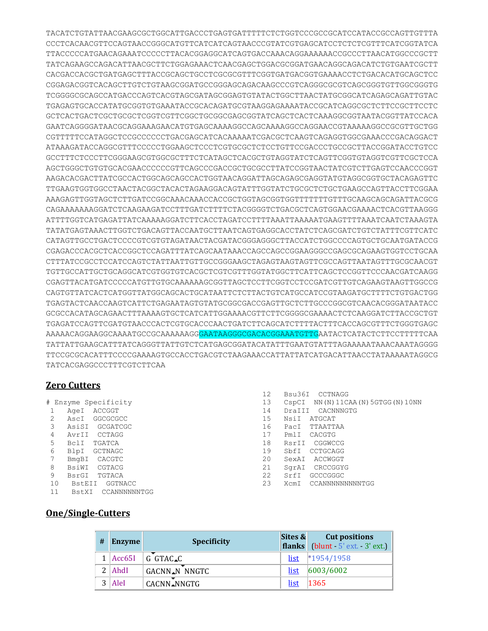TACATCTGTATTAACGAAGCGCTGGCATTGACCCTGAGTGATTTTTCTCTGGTCCCGCCGCATCCATACCGCCAGTTGTTTA CCCTCACAACGTTCCAGTAACCGGGCATGTTCATCATCAGTAACCCGTATCGTGAGCATCCTCTCTCGTTTCATCGGTATCA TTACCCCCATGAACAGAAATCCCCCTTACACGGAGGCATCAGTGACCAAACAGGAAAAAACCGCCCTTAACATGGCCCGCTT TATCAGAAGCCAGACATTAACGCTTCTGGAGAAACTCAACGAGCTGGACGCGGATGAACAGGCAGACATCTGTGAATCGCTT CACGACCACGCTGATGAGCTTTACCGCAGCTGCCTCGCGCGTTTCGGTGATGACGGTGAAAACCTCTGACACATGCAGCTCC CGGAGACGGTCACAGCTTGTCTGTAAGCGGATGCCGGGAGCAGACAAGCCCGTCAGGGCGCGTCAGCGGGTGTTGGCGGGTG TCGGGGCGCAGCCATGACCCAGTCACGTAGCGATAGCGGAGTGTATACTGGCTTAACTATGCGGCATCAGAGCAGATTGTAC TGAGAGTGCACCATATGCGGTGTGAAATACCGCACAGATGCGTAAGGAGAAAATACCGCATCAGGCGCTCTTCCGCTTCCTC GCTCACTGACTCGCTGCGCTCGGTCGTTCGGCTGCGGCGAGCGGTATCAGCTCACTCAAAGGCGGTAATACGGTTATCCACA GAATCAGGGGATAACGCAGGAAAGAACATGTGAGCAAAAGGCCAGCAAAAGGCCAGGAACCGTAAAAAGGCCGCGTTGCTGG CGTTTTTCCATAGGCTCCGCCCCCCTGACGAGCATCACAAAAATCGACGCTCAAGTCAGAGGTGGCGAAACCCGACAGGACT ATAAAGATACCAGGCGTTTCCCCCTGGAAGCTCCCTCGTGCGCTCTCCTGTTCCGACCCTGCCGCTTACCGGATACCTGTCC GCCTTTCTCCCTTCGGGAAGCGTGGCGCTTTCTCATAGCTCACGCTGTAGGTATCTCAGTTCGGTGTAGGTCGTTCGCTCCA AGCTGGGCTGTGTGCACGAACCCCCCGTTCAGCCCGACCGCTGCGCCTTATCCGGTAACTATCGTCTTGAGTCCAACCCGGT AAGACACGACTTATCGCCACTGGCAGCAGCCACTGGTAACAGGATTAGCAGAGCGAGGTATGTAGGCGGTGCTACAGAGTTC TTGAAGTGGTGGCCTAACTACGGCTACACTAGAAGGACAGTATTTGGTATCTGCGCTCTGCTGAAGCCAGTTACCTTCGGAA AAAGAGTTGGTAGCTCTTGATCCGGCAAACAAACCACCGCTGGTAGCGGTGGTTTTTTTGTTTGCAAGCAGCAGATTACGCG CAGAAAAAAAGGATCTCAAGAAGATCCTTTGATCTTTTCTACGGGGTCTGACGCTCAGTGGAACGAAAACTCACGTTAAGGG ATTTTGGTCATGAGATTATCAAAAAGGATCTTCACCTAGATCCTTTTAAATTAAAAATGAAGTTTTAAATCAATCTAAAGTA TATATGAGTAAACTTGGTCTGACAGTTACCAATGCTTAATCAGTGAGGCACCTATCTCAGCGATCTGTCTATTTCGTTCATC CATAGTTGCCTGACTCCCCGTCGTGTAGATAACTACGATACGGGAGGGCTTACCATCTGGCCCCAGTGCTGCAATGATACCG CGAGACCCACGCTCACCGGCTCCAGATTTATCAGCAATAAACCAGCCAGCCGGAAGGGCCGAGCGCAGAAGTGGTCCTGCAA CTTTATCCGCCTCCATCCAGTCTATTAATTGTTGCCGGGAAGCTAGAGTAAGTAGTTCGCCAGTTAATAGTTTGCGCAACGT TGTTGCCATTGCTGCAGGCATCGTGGTGTCACGCTCGTCGTTTGGTATGGCTTCATTCAGCTCCGGTTCCCAACGATCAAGG CGAGTTACATGATCCCCCATGTTGTGCAAAAAAGCGGTTAGCTCCTTCGGTCCTCCGATCGTTGTCAGAAGTAAGTTGGCCG CAGTGTTATCACTCATGGTTATGGCAGCACTGCATAATTCTCTTACTGTCATGCCATCCGTAAGATGCTTTTCTGTGACTGG TGAGTACTCAACCAAGTCATTCTGAGAATAGTGTATGCGGCGACCGAGTTGCTCTTGCCCGGCGTCAACACGGGATAATACC GCGCCACATAGCAGAACTTTAAAAGTGCTCATCATTGGAAAACGTTCTTCGGGGCGAAAACTCTCAAGGATCTTACCGCTGT TGAGATCCAGTTCGATGTAACCCACTCGTGCACCCAACTGATCTTCAGCATCTTTTACTTTCACCAGCGTTTCTGGGTGAGC AAAAACAGGAAGGCAAAATGCCGCAAAAAAGGGAATAAGGGCGACACGGAAATGTTGAATACTCATACTCTTCCTTTTTCAA TATTATTGAAGCATTTATCAGGGTTATTGTCTCATGAGCGGATACATATTTGAATGTATTTAGAAAAATAAACAAATAGGGG TTCCGCGCACATTTCCCCGAAAAGTGCCACCTGACGTCTAAGAAACCATTATTATCATGACATTAACCTATAAAAATAGGCG TATCACGAGGCCCTTTCGTCTTCAA

## **Zero Cutters**

|                             | 12<br>Bsu36I<br>CCTNAGG                        |
|-----------------------------|------------------------------------------------|
| # Enzyme Specificity        | 13<br>NN (N) 11CAA (N) 5GTGG (N) 10NN<br>CspCI |
| ACCGGT                      | 14                                             |
| AgeI                        | DraIII CACNNNGTG                               |
| 2.                          | 15                                             |
| GGCGCGCC                    | NsiI                                           |
| AscI                        | ATGCAT                                         |
| 3                           | 16                                             |
| AsiSI                       | TTAATTAA                                       |
| GCGATCGC                    | PacI                                           |
| 4                           | 17                                             |
| CCTAGG                      | CACGTG                                         |
| AvrII                       | PmlI                                           |
| 5.                          | 18                                             |
| BclI                        | CGGWCCG                                        |
| TGATCA                      | RsrII                                          |
| 6                           | 19                                             |
| GCTNAGC                     | SbfI                                           |
| BlpI                        | CCTGCAGG                                       |
| BmgBI<br>CACGTC             | 20<br>ACCWGGT<br>SexAI                         |
| 8                           | 21                                             |
| BsiWI                       | CRCCGGYG                                       |
| CGTACG                      | SqrAI                                          |
| 9                           | 22                                             |
| TGTACA                      | GCCCGGGC                                       |
| BsrGI                       | SrfI                                           |
| 10                          | 23                                             |
| GGTNACC                     | CCANNNNNNNNNTGG                                |
| BstEII                      | XcmI                                           |
| 11<br>CCANNNNNNTGG<br>BstXI |                                                |

## **One/Single-Cutters**

| # | <b>Enzyme</b> | <b>Specificity</b>       | Sites & | <b>Cut positions</b><br>flanks (blunt 5' ext. 3' ext.) |
|---|---------------|--------------------------|---------|--------------------------------------------------------|
|   | Acc65I        | $G$ $G$ $G$              | list    | $*1954/1958$                                           |
|   | $2$   AhdI    | GACNNAN NNGTC            | list    | 6003/6002                                              |
|   | AleI          | CACNN <sub>ANNG</sub> TG | list    | 1365                                                   |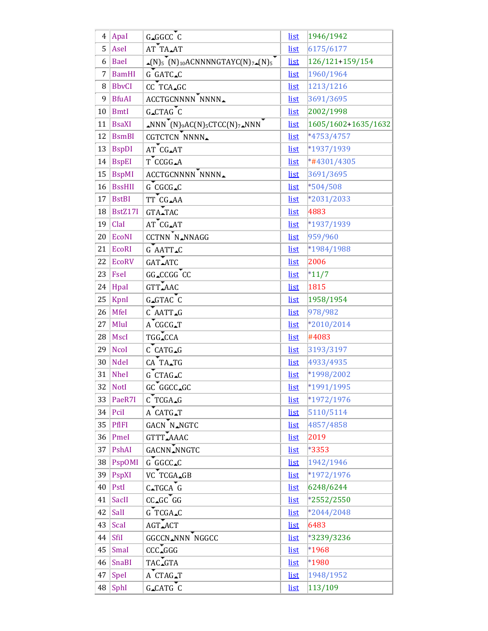| 4  | ApaI          | G_GGCC C                                                                                 | list        | 1946/1942           |
|----|---------------|------------------------------------------------------------------------------------------|-------------|---------------------|
| 5  | AseI          | AT TA_AT                                                                                 | list        | 6175/6177           |
| 6  | Bael          | $\triangle(N)_{5}$ (N) <sub>10</sub> ACNNNNGTAYC(N) <sub>7</sub> $\triangle(N)_{5}$      | list        | 126/121+159/154     |
| 7  | <b>BamHI</b>  | G GATC_C                                                                                 | list        | 1960/1964           |
| 8  | <b>BbvCI</b>  | CC TCA_GC                                                                                | list        | 1213/1216           |
| 9  | <b>BfuAI</b>  | ACCTGCNNNN NNNN                                                                          | list        | 3691/3695           |
| 10 | <b>BmtI</b>   | G_CTAG C                                                                                 | list        | 2002/1998           |
| 11 | <b>BsaXI</b>  | $\triangle NNN$ (N) <sub>9</sub> AC(N) <sub>5</sub> CTCC(N) <sub>7</sub> $\triangle NNN$ | list        | 1605/1602+1635/1632 |
| 12 | <b>BsmBI</b>  | CGTCTCN NNNN <sub>-</sub>                                                                | list        | *4753/4757          |
| 13 | <b>BspDI</b>  | AT CG_AT                                                                                 | list        | *1937/1939          |
| 14 | <b>BspEI</b>  | T CCGG.A                                                                                 | list        | *#4301/4305         |
| 15 | <b>BspMI</b>  | ACCTGCNNNN NNNN <sub>-</sub>                                                             | list        | 3691/3695           |
| 16 | <b>BssHII</b> | G CGCG.C                                                                                 | list        | *504/508            |
| 17 | <b>BstBI</b>  | TT CG_AA                                                                                 | list        | *2031/2033          |
| 18 | BstZ17I       | GTA_TAC                                                                                  | list        | 4883                |
| 19 | ClaI          | AT CG_AT                                                                                 | list        | *1937/1939          |
| 20 | <b>EcoNI</b>  | CCTNN NANNAGG                                                                            | list        | 959/960             |
| 21 | <b>EcoRI</b>  | G AATT_C                                                                                 | list        | *1984/1988          |
| 22 | <b>EcoRV</b>  | GATLATC                                                                                  | list        | 2006                |
| 23 | Fsel          | GG_CCGG CC                                                                               | list        | $*11/7$             |
| 24 | Hpal          | GTT_AAC                                                                                  | list        | 1815                |
| 25 | KpnI          | $G_\text{-}GTAC$ $C$                                                                     | list        | 1958/1954           |
| 26 | MfeI          | C AATT.G                                                                                 | list        | 978/982             |
| 27 | MluI          | A CGCG.T                                                                                 | list        | *2010/2014          |
| 28 | MscI          | TGG_CCA                                                                                  | list        | #4083               |
| 29 | <b>NcoI</b>   | C CATG.G                                                                                 | list        | 3193/3197           |
| 30 | Ndel          | CA TA_TG                                                                                 | list        | 4933/4935           |
| 31 | <b>Nhel</b>   | G CTAG_C                                                                                 | list        | *1998/2002          |
| 32 | <b>NotI</b>   | <b>GC_CCCC</b> <sup>C</sup> CC                                                           | <u>list</u> | *1991/1995          |
| 33 | PaeR7I        | C TCGA_G                                                                                 | <u>list</u> | *1972/1976          |
| 34 | PciI          | A CATG.T                                                                                 | <u>list</u> | 5110/5114           |
| 35 | PfIFI         | GACN NANGTC                                                                              | list        | 4857/4858           |
| 36 | Pmel          | GTTT_AAAC                                                                                | list        | 2019                |
| 37 | PshAI         | <b>GACNN_NNGTC</b>                                                                       | <u>list</u> | $*3353$             |
| 38 | PspOMI        | G GGCC_C                                                                                 | list        | 1942/1946           |
| 39 | PspXI         | VC TCGA_GB                                                                               | list        | *1972/1976          |
| 40 | PstI          | C.TGCA G                                                                                 | list        | 6248/6244           |
| 41 | SacII         | $CC\_GC$ $GG$                                                                            | list        | *2552/2550          |
| 42 | SalI          | G TCGA_C                                                                                 | <u>list</u> | *2044/2048          |
| 43 | Scal          | AGT_ACT                                                                                  | list        | 6483                |
| 44 | SfiI          | GGCCN_NNN NGGCC                                                                          | <u>list</u> | *3239/3236          |
| 45 | Smal          | CCC_GGG                                                                                  | <u>list</u> | $*1968$             |
| 46 | <b>SnaBI</b>  | TAC_GTA                                                                                  | <u>list</u> | *1980               |
| 47 | Spel          | A CTAG <sub>AT</sub>                                                                     | <u>list</u> | 1948/1952           |
| 48 | SphI          | $G_{\nightharpoonup}$ CAT $G$ <sup>-</sup> C                                             | list        | 113/109             |